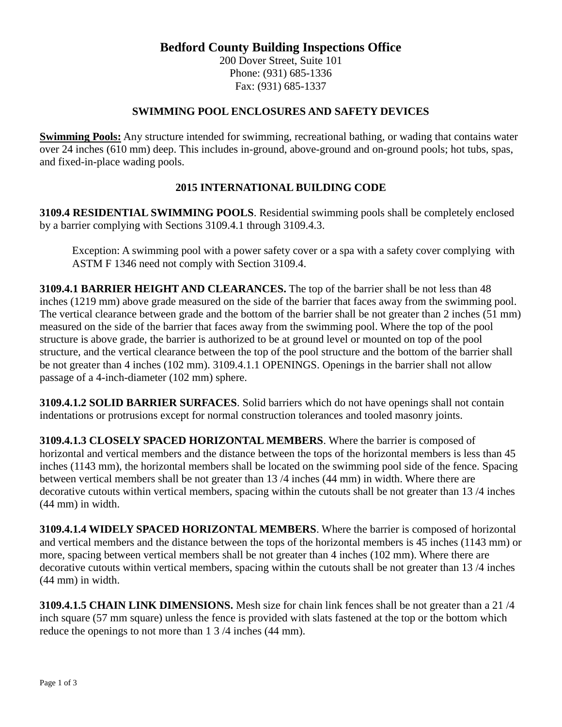### **Bedford County Building Inspections Office**

200 Dover Street, Suite 101 Phone: (931) 685-1336 Fax: (931) 685-1337

#### **SWIMMING POOL ENCLOSURES AND SAFETY DEVICES**

**Swimming Pools:** Any structure intended for swimming, recreational bathing, or wading that contains water over 24 inches (610 mm) deep. This includes in-ground, above-ground and on-ground pools; hot tubs, spas, and fixed-in-place wading pools.

#### **2015 INTERNATIONAL BUILDING CODE**

**3109.4 RESIDENTIAL SWIMMING POOLS**. Residential swimming pools shall be completely enclosed by a barrier complying with Sections 3109.4.1 through 3109.4.3.

Exception: A swimming pool with a power safety cover or a spa with a safety cover complying with ASTM F 1346 need not comply with Section 3109.4.

**3109.4.1 BARRIER HEIGHT AND CLEARANCES.** The top of the barrier shall be not less than 48 inches (1219 mm) above grade measured on the side of the barrier that faces away from the swimming pool. The vertical clearance between grade and the bottom of the barrier shall be not greater than 2 inches (51 mm) measured on the side of the barrier that faces away from the swimming pool. Where the top of the pool structure is above grade, the barrier is authorized to be at ground level or mounted on top of the pool structure, and the vertical clearance between the top of the pool structure and the bottom of the barrier shall be not greater than 4 inches (102 mm). 3109.4.1.1 OPENINGS. Openings in the barrier shall not allow passage of a 4-inch-diameter (102 mm) sphere.

**3109.4.1.2 SOLID BARRIER SURFACES**. Solid barriers which do not have openings shall not contain indentations or protrusions except for normal construction tolerances and tooled masonry joints.

**3109.4.1.3 CLOSELY SPACED HORIZONTAL MEMBERS**. Where the barrier is composed of horizontal and vertical members and the distance between the tops of the horizontal members is less than 45 inches (1143 mm), the horizontal members shall be located on the swimming pool side of the fence. Spacing between vertical members shall be not greater than 13 /4 inches (44 mm) in width. Where there are decorative cutouts within vertical members, spacing within the cutouts shall be not greater than 13 /4 inches (44 mm) in width.

**3109.4.1.4 WIDELY SPACED HORIZONTAL MEMBERS**. Where the barrier is composed of horizontal and vertical members and the distance between the tops of the horizontal members is 45 inches (1143 mm) or more, spacing between vertical members shall be not greater than 4 inches (102 mm). Where there are decorative cutouts within vertical members, spacing within the cutouts shall be not greater than 13 /4 inches (44 mm) in width.

**3109.4.1.5 CHAIN LINK DIMENSIONS.** Mesh size for chain link fences shall be not greater than a 21 /4 inch square (57 mm square) unless the fence is provided with slats fastened at the top or the bottom which reduce the openings to not more than 1 3 /4 inches (44 mm).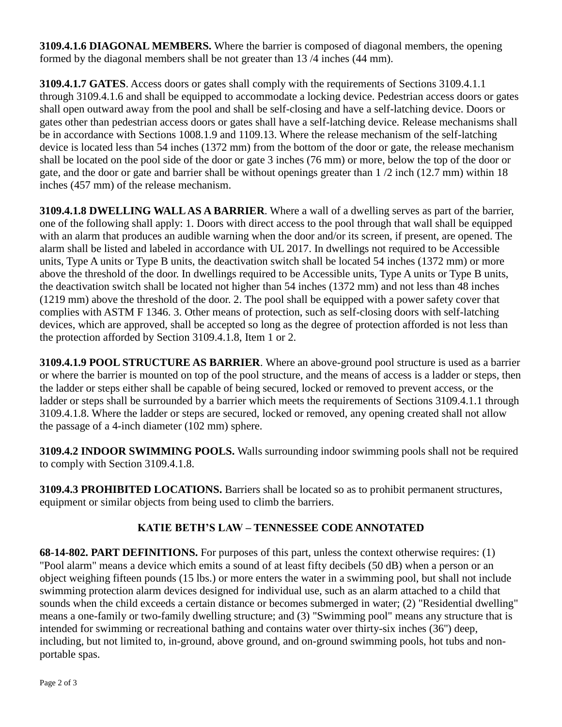**3109.4.1.6 DIAGONAL MEMBERS.** Where the barrier is composed of diagonal members, the opening formed by the diagonal members shall be not greater than 13 /4 inches (44 mm).

**3109.4.1.7 GATES**. Access doors or gates shall comply with the requirements of Sections 3109.4.1.1 through 3109.4.1.6 and shall be equipped to accommodate a locking device. Pedestrian access doors or gates shall open outward away from the pool and shall be self-closing and have a self-latching device. Doors or gates other than pedestrian access doors or gates shall have a self-latching device. Release mechanisms shall be in accordance with Sections 1008.1.9 and 1109.13. Where the release mechanism of the self-latching device is located less than 54 inches (1372 mm) from the bottom of the door or gate, the release mechanism shall be located on the pool side of the door or gate 3 inches (76 mm) or more, below the top of the door or gate, and the door or gate and barrier shall be without openings greater than 1 /2 inch (12.7 mm) within 18 inches (457 mm) of the release mechanism.

**3109.4.1.8 DWELLING WALL AS A BARRIER**. Where a wall of a dwelling serves as part of the barrier, one of the following shall apply: 1. Doors with direct access to the pool through that wall shall be equipped with an alarm that produces an audible warning when the door and/or its screen, if present, are opened. The alarm shall be listed and labeled in accordance with UL 2017. In dwellings not required to be Accessible units, Type A units or Type B units, the deactivation switch shall be located 54 inches (1372 mm) or more above the threshold of the door. In dwellings required to be Accessible units, Type A units or Type B units, the deactivation switch shall be located not higher than 54 inches (1372 mm) and not less than 48 inches (1219 mm) above the threshold of the door. 2. The pool shall be equipped with a power safety cover that complies with ASTM F 1346. 3. Other means of protection, such as self-closing doors with self-latching devices, which are approved, shall be accepted so long as the degree of protection afforded is not less than the protection afforded by Section 3109.4.1.8, Item 1 or 2.

**3109.4.1.9 POOL STRUCTURE AS BARRIER**. Where an above-ground pool structure is used as a barrier or where the barrier is mounted on top of the pool structure, and the means of access is a ladder or steps, then the ladder or steps either shall be capable of being secured, locked or removed to prevent access, or the ladder or steps shall be surrounded by a barrier which meets the requirements of Sections 3109.4.1.1 through 3109.4.1.8. Where the ladder or steps are secured, locked or removed, any opening created shall not allow the passage of a 4-inch diameter (102 mm) sphere.

**3109.4.2 INDOOR SWIMMING POOLS.** Walls surrounding indoor swimming pools shall not be required to comply with Section 3109.4.1.8.

**3109.4.3 PROHIBITED LOCATIONS.** Barriers shall be located so as to prohibit permanent structures, equipment or similar objects from being used to climb the barriers.

# **KATIE BETH'S LAW – TENNESSEE CODE ANNOTATED**

**68-14-802. PART DEFINITIONS.** For purposes of this part, unless the context otherwise requires: (1) "Pool alarm" means a device which emits a sound of at least fifty decibels (50 dB) when a person or an object weighing fifteen pounds (15 lbs.) or more enters the water in a swimming pool, but shall not include swimming protection alarm devices designed for individual use, such as an alarm attached to a child that sounds when the child exceeds a certain distance or becomes submerged in water; (2) "Residential dwelling" means a one-family or two-family dwelling structure; and (3) "Swimming pool" means any structure that is intended for swimming or recreational bathing and contains water over thirty-six inches (36'') deep, including, but not limited to, in-ground, above ground, and on-ground swimming pools, hot tubs and nonportable spas.